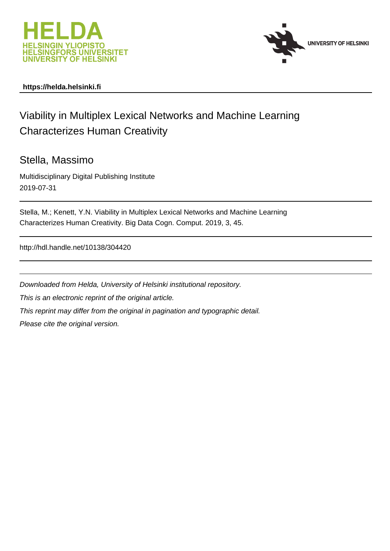



### **https://helda.helsinki.fi**

# Viability in Multiplex Lexical Networks and Machine Learning Characterizes Human Creativity

### Stella, Massimo

Multidisciplinary Digital Publishing Institute 2019-07-31

Stella, M.; Kenett, Y.N. Viability in Multiplex Lexical Networks and Machine Learning Characterizes Human Creativity. Big Data Cogn. Comput. 2019, 3, 45.

http://hdl.handle.net/10138/304420

Downloaded from Helda, University of Helsinki institutional repository. This is an electronic reprint of the original article. This reprint may differ from the original in pagination and typographic detail. Please cite the original version.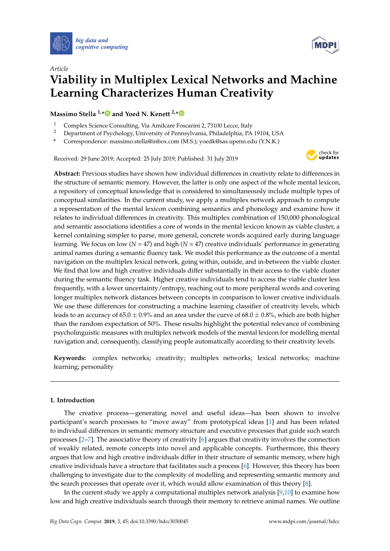



## *Article* **Viability in Multiplex Lexical Networks and Machine Learning Characterizes Human Creativity**

**Massimo Stella 1,[\\*](https://orcid.org/0000-0003-1810-9699) and Yoed N. Kenett 2,[\\*](https://orcid.org/0000-0003-3872-7689)**

- <sup>1</sup> Complex Science Consulting, Via Amilcare Foscarini 2, 73100 Lecce, Italy<br><sup>2</sup> Department of Psychology University of Pennsylvania Philadelphia, PA
- <sup>2</sup> Department of Psychology, University of Pennsylvania, Philadelphia, PA 19104, USA

**\*** Correspondence: massimo.stella@inbox.com (M.S.); yoedk@sas.upenn.edu (Y.N.K.)

Received: 29 June 2019; Accepted: 25 July 2019; Published: 31 July 2019



**Abstract:** Previous studies have shown how individual differences in creativity relate to differences in the structure of semantic memory. However, the latter is only one aspect of the whole mental lexicon, a repository of conceptual knowledge that is considered to simultaneously include multiple types of conceptual similarities. In the current study, we apply a multiplex network approach to compute a representation of the mental lexicon combining semantics and phonology and examine how it relates to individual differences in creativity. This multiplex combination of 150,000 phonological and semantic associations identifies a core of words in the mental lexicon known as viable cluster, a kernel containing simpler to parse, more general, concrete words acquired early during language learning. We focus on low (*N* = 47) and high (*N* = 47) creative individuals' performance in generating animal names during a semantic fluency task. We model this performance as the outcome of a mental navigation on the multiplex lexical network, going within, outside, and in-between the viable cluster. We find that low and high creative individuals differ substantially in their access to the viable cluster during the semantic fluency task. Higher creative individuals tend to access the viable cluster less frequently, with a lower uncertainty/entropy, reaching out to more peripheral words and covering longer multiplex network distances between concepts in comparison to lower creative individuals. We use these differences for constructing a machine learning classifier of creativity levels, which leads to an accuracy of  $65.0 \pm 0.9\%$  and an area under the curve of  $68.0 \pm 0.8\%$ , which are both higher than the random expectation of 50%. These results highlight the potential relevance of combining psycholinguistic measures with multiplex network models of the mental lexicon for modelling mental navigation and, consequently, classifying people automatically according to their creativity levels.

**Keywords:** complex networks; creativity; multiplex networks; lexical networks; machine learning; personality

#### **1. Introduction**

The creative process—generating novel and useful ideas—has been shown to involve participant's search processes to "move away" from prototypical ideas [1] and has been related to individual differences in semantic memory structure and executive processes that guide such search processes [2–7]. The associative theory of creativity [6] argues that creativity involves the connection of weakly related, remote concepts into novel and applicable concepts. Furthermore, this theory argues that low and high creative individuals differ in their structure of semantic memory, where high creative individuals have a structure that facilitates such a process [6]. However, this theory has been challenging to investigate due to the complexity of modelling and representing semantic memory and the search processes that operate over it, which would allow examination of this theory [8].

In the current study we apply a computational multiplex network analysis [9,10] to examine how low and high creative individuals search through their memory to retrieve animal names. We outline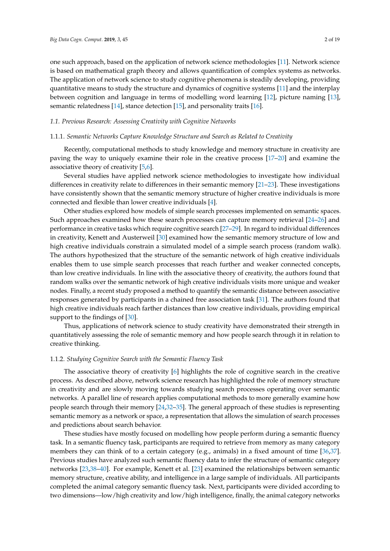one such approach, based on the application of network science methodologies [11]. Network science is based on mathematical graph theory and allows quantification of complex systems as networks. The application of network science to study cognitive phenomena is steadily developing, providing quantitative means to study the structure and dynamics of cognitive systems [11] and the interplay between cognition and language in terms of modelling word learning [12], picture naming [13], semantic relatedness [14], stance detection [15], and personality traits [16].

#### *1.1. Previous Research: Assessing Creativity with Cognitive Networks*

#### 1.1.1. *Semantic Networks Capture Knowledge Structure and Search as Related to Creativity*

Recently, computational methods to study knowledge and memory structure in creativity are paving the way to uniquely examine their role in the creative process [17–20] and examine the associative theory of creativity [5,6].

Several studies have applied network science methodologies to investigate how individual differences in creativity relate to differences in their semantic memory [21–23]. These investigations have consistently shown that the semantic memory structure of higher creative individuals is more connected and flexible than lower creative individuals [4].

Other studies explored how models of simple search processes implemented on semantic spaces. Such approaches examined how these search processes can capture memory retrieval [24–26] and performance in creative tasks which require cognitive search [27–29]. In regard to individual differences in creativity, Kenett and Austerweil [30] examined how the semantic memory structure of low and high creative individuals constrain a simulated model of a simple search process (random walk). The authors hypothesized that the structure of the semantic network of high creative individuals enables them to use simple search processes that reach further and weaker connected concepts, than low creative individuals. In line with the associative theory of creativity, the authors found that random walks over the semantic network of high creative individuals visits more unique and weaker nodes. Finally, a recent study proposed a method to quantify the semantic distance between associative responses generated by participants in a chained free association task [31]. The authors found that high creative individuals reach farther distances than low creative individuals, providing empirical support to the findings of [30].

Thus, applications of network science to study creativity have demonstrated their strength in quantitatively assessing the role of semantic memory and how people search through it in relation to creative thinking.

#### 1.1.2. *Studying Cognitive Search with the Semantic Fluency Task*

The associative theory of creativity [6] highlights the role of cognitive search in the creative process. As described above, network science research has highlighted the role of memory structure in creativity and are slowly moving towards studying search processes operating over semantic networks. A parallel line of research applies computational methods to more generally examine how people search through their memory [24,32–35]. The general approach of these studies is representing semantic memory as a network or space, a representation that allows the simulation of search processes and predictions about search behavior.

These studies have mostly focused on modelling how people perform during a semantic fluency task. In a semantic fluency task, participants are required to retrieve from memory as many category members they can think of to a certain category (e.g., animals) in a fixed amount of time [36,37]. Previous studies have analyzed such semantic fluency data to infer the structure of semantic category networks [23,38–40]. For example, Kenett et al. [23] examined the relationships between semantic memory structure, creative ability, and intelligence in a large sample of individuals. All participants completed the animal category semantic fluency task. Next, participants were divided according to two dimensions—low/high creativity and low/high intelligence, finally, the animal category networks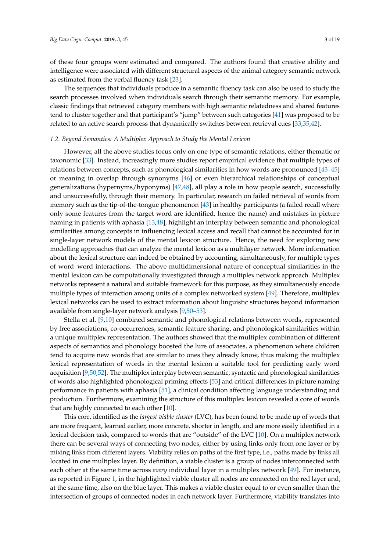of these four groups were estimated and compared. The authors found that creative ability and intelligence were associated with different structural aspects of the animal category semantic network as estimated from the verbal fluency task [23].

The sequences that individuals produce in a semantic fluency task can also be used to study the search processes involved when individuals search through their semantic memory. For example, classic findings that retrieved category members with high semantic relatedness and shared features tend to cluster together and that participant's "jump" between such categories [41] was proposed to be related to an active search process that dynamically switches between retrieval cues [33,35,42].

#### *1.2. Beyond Semantics: A Multiplex Approach to Study the Mental Lexicon*

However, all the above studies focus only on one type of semantic relations, either thematic or taxonomic [33]. Instead, increasingly more studies report empirical evidence that multiple types of relations between concepts, such as phonological similarities in how words are pronounced [43–45] or meaning in overlap through synonyms [46] or even hierarchical relationships of conceptual generalizations (hypernyms/hyponyms) [47,48], all play a role in how people search, successfully and unsuccessfully, through their memory. In particular, research on failed retrieval of words from memory such as the tip-of-the-tongue phenomenon [43] in healthy participants (a failed recall where only some features from the target word are identified, hence the name) and mistakes in picture naming in patients with aphasia [13,48], highlight an interplay between semantic and phonological similarities among concepts in influencing lexical access and recall that cannot be accounted for in single-layer network models of the mental lexicon structure. Hence, the need for exploring new modelling approaches that can analyze the mental lexicon as a multilayer network. More information about the lexical structure can indeed be obtained by accounting, simultaneously, for multiple types of word–word interactions. The above multidimensional nature of conceptual similarities in the mental lexicon can be computationally investigated through a multiplex network approach. Multiplex networks represent a natural and suitable framework for this purpose, as they simultaneously encode multiple types of interaction among units of a complex networked system [49]. Therefore, multiplex lexical networks can be used to extract information about linguistic structures beyond information available from single-layer network analysis [9,50–53].

Stella et al. [9,10] combined semantic and phonological relations between words, represented by free associations, co-occurrences, semantic feature sharing, and phonological similarities within a unique multiplex representation. The authors showed that the multiplex combination of different aspects of semantics and phonology boosted the lure of associates, a phenomenon where children tend to acquire new words that are similar to ones they already know, thus making the multiplex lexical representation of words in the mental lexicon a suitable tool for predicting early word acquisition [9,50,52]. The multiplex interplay between semantic, syntactic and phonological similarities of words also highlighted phonological priming effects [53] and critical differences in picture naming performance in patients with aphasia [51], a clinical condition affecting language understanding and production. Furthermore, examining the structure of this multiplex lexicon revealed a core of words that are highly connected to each other [10].

This core, identified as the *largest viable cluster* (LVC), has been found to be made up of words that are more frequent, learned earlier, more concrete, shorter in length, and are more easily identified in a lexical decision task, compared to words that are "outside" of the LVC [10]. On a multiplex network there can be several ways of connecting two nodes, either by using links only from one layer or by mixing links from different layers. Viability relies on paths of the first type, i.e., paths made by links all located in one multiplex layer. By definition, a viable cluster is a group of nodes interconnected with each other at the same time across *every* individual layer in a multiplex network [49]. For instance, as reported in Figure 1, in the highlighted viable cluster all nodes are connected on the red layer and, at the same time, also on the blue layer. This makes a viable cluster equal to or even smaller than the intersection of groups of connected nodes in each network layer. Furthermore, viability translates into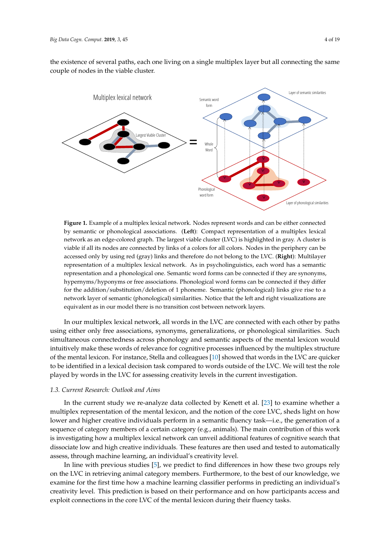the existence of several paths, each one living on a single multiplex layer but all connecting the same couple of nodes in the viable cluster.



**Figure 1.** Example of a multiplex lexical network. Nodes represent words and can be either connected by semantic or phonological associations. (**Left**): Compact representation of a multiplex lexical network as an edge-colored graph. The largest viable cluster (LVC) is highlighted in gray. A cluster is viable if all its nodes are connected by links of a colors for all colors. Nodes in the periphery can be accessed only by using red (gray) links and therefore do not belong to the LVC. (**Right**): Multilayer representation of a multiplex lexical network. As in psycholinguistics, each word has a semantic representation and a phonological one. Semantic word forms can be connected if they are synonyms, hypernyms/hyponyms or free associations. Phonological word forms can be connected if they differ for the addition/substitution/deletion of 1 phoneme. Semantic (phonological) links give rise to a network layer of semantic (phonological) similarities. Notice that the left and right visualizations are equivalent as in our model there is no transition cost between network layers.

In our multiplex lexical network, all words in the LVC are connected with each other by paths using either only free associations, synonyms, generalizations, or phonological similarities. Such simultaneous connectedness across phonology and semantic aspects of the mental lexicon would intuitively make these words of relevance for cognitive processes influenced by the multiplex structure of the mental lexicon. For instance, Stella and colleagues [10] showed that words in the LVC are quicker to be identified in a lexical decision task compared to words outside of the LVC. We will test the role played by words in the LVC for assessing creativity levels in the current investigation.

#### *1.3. Current Research: Outlook and Aims*

In the current study we re-analyze data collected by Kenett et al. [23] to examine whether a multiplex representation of the mental lexicon, and the notion of the core LVC, sheds light on how lower and higher creative individuals perform in a semantic fluency task—i.e., the generation of a sequence of category members of a certain category (e.g., animals). The main contribution of this work is investigating how a multiplex lexical network can unveil additional features of cognitive search that dissociate low and high creative individuals. These features are then used and tested to automatically assess, through machine learning, an individual's creativity level.

In line with previous studies [5], we predict to find differences in how these two groups rely on the LVC in retrieving animal category members. Furthermore, to the best of our knowledge, we examine for the first time how a machine learning classifier performs in predicting an individual's creativity level. This prediction is based on their performance and on how participants access and exploit connections in the core LVC of the mental lexicon during their fluency tasks.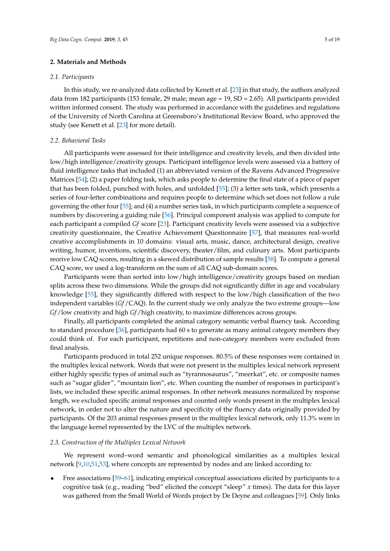#### **2. Materials and Methods**

#### *2.1. Participants*

In this study, we re-analyzed data collected by Kenett et al. [23] in that study, the authors analyzed data from 182 participants (153 female, 29 male; mean age =  $19$ , SD = 2.65). All participants provided written informed consent. The study was performed in accordance with the guidelines and regulations of the University of North Carolina at Greensboro's Institutional Review Board, who approved the study (see Kenett et al. [23] for more detail).

#### *2.2. Behavioral Tasks*

All participants were assessed for their intelligence and creativity levels, and then divided into low/high intelligence/creativity groups. Participant intelligence levels were assessed via a battery of fluid intelligence tasks that included (1) an abbreviated version of the Ravens Advanced Progressive Matrices [54]; (2) a paper folding task, which asks people to determine the final state of a piece of paper that has been folded, punched with holes, and unfolded [55]; (3) a letter sets task, which presents a series of four-letter combinations and requires people to determine which set does not follow a rule governing the other four [55]; and (4) a number series task, in which participants complete a sequence of numbers by discovering a guiding rule [56]. Principal component analysis was applied to compute for each participant a compiled *Gf* score [23]. Participant creativity levels were assessed via a subjective creativity questionnaire, the Creative Achievement Questionnaire [57], that measures real-world creative accomplishments in 10 domains: visual arts, music, dance, architectural design, creative writing, humor, inventions, scientific discovery, theater/film, and culinary arts. Most participants receive low CAQ scores, resulting in a skewed distribution of sample results [58]. To compute a general CAQ score, we used a log-transform on the sum of all CAQ sub-domain scores.

Participants were than sorted into low/high intelligence/creativity groups based on median splits across these two dimensions. While the groups did not significantly differ in age and vocabulary knowledge [55], they significantly differed with respect to the low/high classification of the two independent variables (*Gf*/CAQ). In the current study we only analyze the two extreme groups—low *Gf*/low creativity and high *Gf*/high creativity, to maximize differences across groups.

Finally, all participants completed the animal category semantic verbal fluency task. According to standard procedure [36], participants had 60 s to generate as many animal category members they could think of. For each participant, repetitions and non-category members were excluded from final analysis.

Participants produced in total 252 unique responses. 80.5% of these responses were contained in the multiplex lexical network. Words that were not present in the multiplex lexical network represent either highly specific types of animal such as "tyrannosaurus", "meerkat", etc. or composite names such as "sugar glider", "mountain lion", etc. When counting the number of responses in participant's lists, we included these specific animal responses. In other network measures normalized by response length, we excluded specific animal responses and counted only words present in the multiplex lexical network, in order not to alter the nature and specificity of the fluency data originally provided by participants. Of the 203 animal responses present in the multiplex lexical network, only 11.3% were in the language kernel represented by the LVC of the multiplex network.

#### *2.3. Construction of the Multiplex Lexical Network*

We represent word–word semantic and phonological similarities as a multiplex lexical network [9,10,51,53], where concepts are represented by nodes and are linked according to:

• Free associations [59–61], indicating empirical conceptual associations elicited by participants to a cognitive task (e.g., reading "bed" elicited the concept "sleep" *x* times). The data for this layer was gathered from the Small World of Words project by De Deyne and colleagues [59]. Only links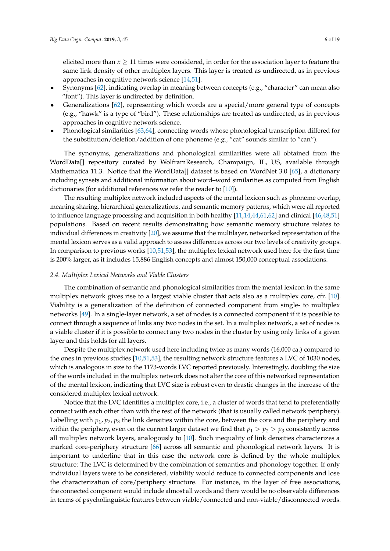elicited more than  $x \geq 11$  times were considered, in order for the association layer to feature the same link density of other multiplex layers. This layer is treated as undirected, as in previous approaches in cognitive network science [14,51].

- Synonyms [62], indicating overlap in meaning between concepts (e.g., "character" can mean also "font"). This layer is undirected by definition.
- Generalizations [62], representing which words are a special/more general type of concepts (e.g., "hawk" is a type of "bird"). These relationships are treated as undirected, as in previous approaches in cognitive network science.
- Phonological similarities [63,64], connecting words whose phonological transcription differed for the substitution/deletion/addition of one phoneme (e.g., "cat" sounds similar to "can").

The synonyms, generalizations and phonological similarities were all obtained from the WordData[] repository curated by WolframResearch, Champaign, IL, US, available through Mathematica 11.3. Notice that the WordData[] dataset is based on WordNet 3.0 [65], a dictionary including synsets and additional information about word–word similarities as computed from English dictionaries (for additional references we refer the reader to [10]).

The resulting multiplex network included aspects of the mental lexicon such as phoneme overlap, meaning sharing, hierarchical generalizations, and semantic memory patterns, which were all reported to influence language processing and acquisition in both healthy [11,14,44,61,62] and clinical [46,48,51] populations. Based on recent results demonstrating how semantic memory structure relates to individual differences in creativity [20], we assume that the multilayer, networked representation of the mental lexicon serves as a valid approach to assess differences across our two levels of creativity groups. In comparison to previous works [10,51,53], the multiplex lexical network used here for the first time is 200% larger, as it includes 15,886 English concepts and almost 150,000 conceptual associations.

#### *2.4. Multiplex Lexical Networks and Viable Clusters*

The combination of semantic and phonological similarities from the mental lexicon in the same multiplex network gives rise to a largest viable cluster that acts also as a multiplex core, cfr. [10]. Viability is a generalization of the definition of connected component from single- to multiplex networks [49]. In a single-layer network, a set of nodes is a connected component if it is possible to connect through a sequence of links any two nodes in the set. In a multiplex network, a set of nodes is a viable cluster if it is possible to connect any two nodes in the cluster by using only links of a given layer and this holds for all layers.

Despite the multiplex network used here including twice as many words (16,000 ca.) compared to the ones in previous studies [10,51,53], the resulting network structure features a LVC of 1030 nodes, which is analogous in size to the 1173-words LVC reported previously. Interestingly, doubling the size of the words included in the multiplex network does not alter the core of this networked representation of the mental lexicon, indicating that LVC size is robust even to drastic changes in the increase of the considered multiplex lexical network.

Notice that the LVC identifies a multiplex core, i.e., a cluster of words that tend to preferentially connect with each other than with the rest of the network (that is usually called network periphery). Labelling with  $p_1$ ,  $p_2$ ,  $p_3$  the link densities within the core, between the core and the periphery and within the periphery, even on the current larger dataset we find that  $p_1 > p_2 > p_3$  consistently across all multiplex network layers, analogously to [10]. Such inequality of link densities characterizes a marked core-periphery structure [66] across all semantic and phonological network layers. It is important to underline that in this case the network core is defined by the whole multiplex structure: The LVC is determined by the combination of semantics and phonology together. If only individual layers were to be considered, viability would reduce to connected components and lose the characterization of core/periphery structure. For instance, in the layer of free associations, the connected component would include almost all words and there would be no observable differences in terms of psycholinguistic features between viable/connected and non-viable/disconnected words.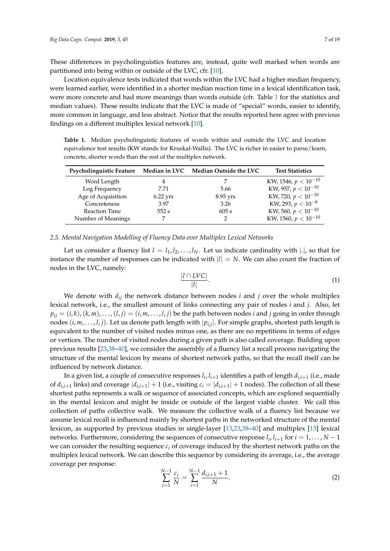These differences in psycholinguistics features are, instead, quite well marked when words are partitioned into being within or outside of the LVC, cfr. [10].

Location equivalence tests indicated that words within the LVC had a higher median frequency, were learned earlier, were identified in a shorter median reaction time in a lexical identification task, were more concrete and had more meanings than words outside (cfr. Table 1 for the statistics and median values). These results indicate that the LVC is made of "special" words, easier to identify, more common in language, and less abstract. Notice that the results reported here agree with previous findings on a different multiplex lexical network [10].

**Table 1.** Median psycholinguistic features of words within and outside the LVC and location equivalence test results (KW stands for Kruskal-Wallis). The LVC is richer in easier to parse/learn, concrete, shorter words than the rest of the multiplex network.

| Psycholinguistic Feature |            | Median in LVC Median Outside the LVC | <b>Test Statistics</b>   |
|--------------------------|------------|--------------------------------------|--------------------------|
| Word Length              | 4          | 7                                    | KW, 1546, $p < 10^{-10}$ |
| Log Frequency            | 7.71       | 5.66                                 | KW, 957, $p < 10^{-10}$  |
| Age of Acquisition       | $6.22$ yrs | 8.95 yrs                             | KW, 720, $p < 10^{-10}$  |
| Concreteness             | 3.97       | 3.26                                 | KW, 293, $p < 10^{-8}$   |
| <b>Reaction Time</b>     | 552 s      | 605 s                                | KW, 560, $p < 10^{-10}$  |
| Number of Meanings       |            |                                      | KW, 1560, $p < 10^{-10}$ |

#### *2.5. Mental Navigation Modelling of Fluency Data over Multiplex Lexical Networks*

Let us consider a fluency list  $l = l_1, l_2, \ldots, l_N$ . Let us indicate cardinality with  $|.|$ , so that for instance the number of responses can be indicated with  $|l| = N$ . We can also count the fraction of nodes in the LVC, namely:

$$
\frac{|l \cap LVC|}{|l|}.\tag{1}
$$

We denote with *dij* the network distance between nodes *i* and *j* over the whole multiplex lexical network, i.e., the smallest amount of links connecting any pair of nodes *i* and *j*. Also, let  $p_{ij} = (i, k)$ ,  $(k, m)$ , . . . ,  $(l, j) = (i, m, \ldots, l, j)$  be the path between nodes *i* and *j* going in order through nodes (*i*, *m*, . . . , *l*, *j*). Let us denote path length with |*pi*,*<sup>j</sup>* |. For simple graphs, shortest path length is equivalent to the number of visited nodes minus one, as there are no repetitions in terms of edges or vertices. The number of visited nodes during a given path is also called coverage. Building upon previous results [23,38–40], we consider the assembly of a fluency list a recall process navigating the structure of the mental lexicon by means of shortest network paths, so that the recall itself can be influenced by network distance.

In a given list, a couple of consecutive responses  $l_i, l_{i+1}$  identifies a path of length  $d_{i,i+1}$  (i.e., made of  $d_{i,i+1}$  links) and coverage  $|d_{i,i+1}| + 1$  (i.e., visiting  $c_i = |d_{i,i+1}| + 1$  nodes). The collection of all these shortest paths represents a walk or sequence of associated concepts, which are explored sequentially in the mental lexicon and might be inside or outside of the largest viable cluster. We call this collection of paths collective walk. We measure the collective walk of a fluency list because we assume lexical recall is influenced mainly by shortest paths in the networked structure of the mental lexicon, as supported by previous studies in single-layer [13,23,38–40] and multiplex [13] lexical networks. Furthermore, considering the sequences of consecutive response *l<sup>i</sup>* , *li*+<sup>1</sup> for *i* = 1, . . . , *N* − 1 we can consider the resulting sequence  $c_i$  of coverage induced by the shortest network paths on the multiplex lexical network. We can describe this sequence by considering its average, i.e., the average coverage per response:

$$
\sum_{i=1}^{N-1} \frac{c_i}{N} = \sum_{i=1}^{N-1} \frac{d_{i,i+1} + 1}{N}.
$$
\n(2)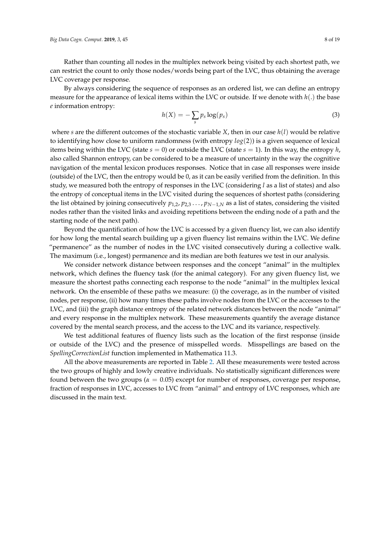Rather than counting all nodes in the multiplex network being visited by each shortest path, we can restrict the count to only those nodes/words being part of the LVC, thus obtaining the average LVC coverage per response.

By always considering the sequence of responses as an ordered list, we can define an entropy measure for the appearance of lexical items within the LVC or outside. If we denote with *h*(.) the base *e* information entropy:

$$
h(X) = -\sum_{s} p_s \log(p_s)
$$
 (3)

where *s* are the different outcomes of the stochastic variable *X*, then in our case *h*(*l*) would be relative to identifying how close to uniform randomness (with entropy *log*(2)) is a given sequence of lexical items being within the LVC (state  $s = 0$ ) or outside the LVC (state  $s = 1$ ). In this way, the entropy  $h$ , also called Shannon entropy, can be considered to be a measure of uncertainty in the way the cognitive navigation of the mental lexicon produces responses. Notice that in case all responses were inside (outside) of the LVC, then the entropy would be 0, as it can be easily verified from the definition. In this study, we measured both the entropy of responses in the LVC (considering *l* as a list of states) and also the entropy of conceptual items in the LVC visited during the sequences of shortest paths (considering the list obtained by joining consecutively  $p_{1,2}, p_{2,3}, \ldots, p_{N-1,N}$  as a list of states, considering the visited nodes rather than the visited links and avoiding repetitions between the ending node of a path and the starting node of the next path).

Beyond the quantification of how the LVC is accessed by a given fluency list, we can also identify for how long the mental search building up a given fluency list remains within the LVC. We define "permanence" as the number of nodes in the LVC visited consecutively during a collective walk. The maximum (i.e., longest) permanence and its median are both features we test in our analysis.

We consider network distance between responses and the concept "animal" in the multiplex network, which defines the fluency task (for the animal category). For any given fluency list, we measure the shortest paths connecting each response to the node "animal" in the multiplex lexical network. On the ensemble of these paths we measure: (i) the coverage, as in the number of visited nodes, per response, (ii) how many times these paths involve nodes from the LVC or the accesses to the LVC, and (iii) the graph distance entropy of the related network distances between the node "animal" and every response in the multiplex network. These measurements quantify the average distance covered by the mental search process, and the access to the LVC and its variance, respectively.

We test additional features of fluency lists such as the location of the first response (inside or outside of the LVC) and the presence of misspelled words. Misspellings are based on the *SpellingCorrectionList* function implemented in Mathematica 11.3.

All the above measurements are reported in Table 2. All these measurements were tested across the two groups of highly and lowly creative individuals. No statistically significant differences were found between the two groups ( $\alpha = 0.05$ ) except for number of responses, coverage per response, fraction of responses in LVC, accesses to LVC from "animal" and entropy of LVC responses, which are discussed in the main text.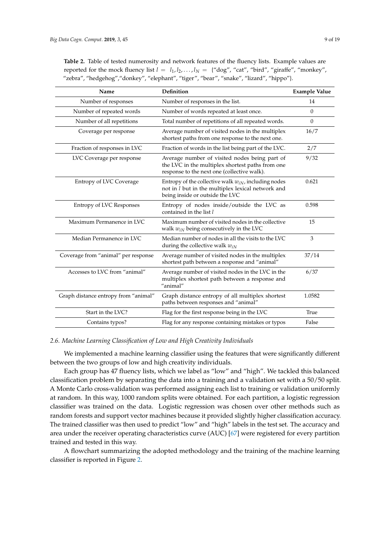**Table 2.** Table of tested numerosity and network features of the fluency lists. Example values are reported for the mock fluency list  $l = l_1, l_2, \ldots, l_N =$  {"dog", "cat", "bird", "giraffe", "monkey", "zebra", "hedgehog","donkey", "elephant", "tiger", "bear", "snake", "lizard", "hippo"}.

| Name                                 | Definition                                                                                                                                               | <b>Example Value</b> |
|--------------------------------------|----------------------------------------------------------------------------------------------------------------------------------------------------------|----------------------|
| Number of responses                  | Number of responses in the list.                                                                                                                         | 14                   |
| Number of repeated words             | Number of words repeated at least once.                                                                                                                  | $\Omega$             |
| Number of all repetitions            | Total number of repetitions of all repeated words.                                                                                                       | $\mathbf{0}$         |
| Coverage per response                | Average number of visited nodes in the multiplex<br>shortest paths from one response to the next one.                                                    | 16/7                 |
| Fraction of responses in LVC         | Fraction of words in the list being part of the LVC.                                                                                                     | 2/7                  |
| LVC Coverage per response            | Average number of visited nodes being part of<br>the LVC in the multiplex shortest paths from one<br>response to the next one (collective walk).         | 9/32                 |
| Entropy of LVC Coverage              | Entropy of the collective walk $w_{iN}$ , including nodes<br>not in <i>l</i> but in the multiplex lexical network and<br>being inside or outside the LVC | 0.621                |
| Entropy of LVC Responses             | Entropy of nodes inside/outside the LVC as<br>contained in the list l                                                                                    | 0.598                |
| Maximum Permanence in LVC            | Maximum number of visited nodes in the collective<br>walk $w_{iN}$ being consecutively in the LVC                                                        | 15                   |
| Median Permanence in LVC             | Median number of nodes in all the visits to the LVC<br>during the collective walk $w_{iN}$                                                               | 3                    |
| Coverage from "animal" per response  | Average number of visited nodes in the multiplex<br>shortest path between a response and "animal"                                                        | 37/14                |
| Accesses to LVC from "animal"        | Average number of visited nodes in the LVC in the<br>multiplex shortest path between a response and<br>"animal"                                          | 6/37                 |
| Graph distance entropy from "animal" | Graph distance entropy of all multiplex shortest<br>paths between responses and "animal"                                                                 | 1.0582               |
| Start in the LVC?                    | Flag for the first response being in the LVC                                                                                                             | True                 |
| Contains typos?                      | Flag for any response containing mistakes or typos                                                                                                       | False                |

#### *2.6. Machine Learning Classification of Low and High Creativity Individuals*

We implemented a machine learning classifier using the features that were significantly different between the two groups of low and high creativity individuals.

Each group has 47 fluency lists, which we label as "low" and "high". We tackled this balanced classification problem by separating the data into a training and a validation set with a 50/50 split. A Monte Carlo cross-validation was performed assigning each list to training or validation uniformly at random. In this way, 1000 random splits were obtained. For each partition, a logistic regression classifier was trained on the data. Logistic regression was chosen over other methods such as random forests and support vector machines because it provided slightly higher classification accuracy. The trained classifier was then used to predict "low" and "high" labels in the test set. The accuracy and area under the receiver operating characteristics curve (AUC) [67] were registered for every partition trained and tested in this way.

A flowchart summarizing the adopted methodology and the training of the machine learning classifier is reported in Figure 2.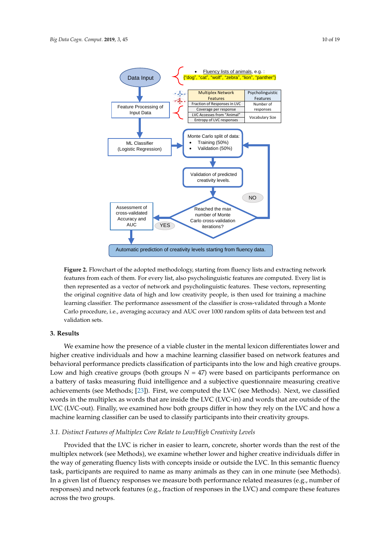

**Figure 2.** Flowchart of the adopted methodology, starting from fluency lists and extracting network features from each of them. For every list, also psycholinguistic features are computed. Every list is then represented as a vector of network and psycholinguistic features. These vectors, representing the original cognitive data of high and low creativity people, is then used for training a machine learning classifier. The performance assessment of the classifier is cross-validated through a Monte Carlo procedure, i.e., averaging accuracy and AUC over 1000 random splits of data between test and validation sets.

#### **3. Results**

We examine how the presence of a viable cluster in the mental lexicon differentiates lower and higher creative individuals and how a machine learning classifier based on network features and behavioral performance predicts classification of participants into the low and high creative groups. Low and high creative groups (both groups  $N = 47$ ) were based on participants performance on a battery of tasks measuring fluid intelligence and a subjective questionnaire measuring creative achievements (see Methods; [23]). First, we computed the LVC (see Methods). Next, we classified words in the multiplex as words that are inside the LVC (LVC-in) and words that are outside of the LVC (LVC-out). Finally, we examined how both groups differ in how they rely on the LVC and how a machine learning classifier can be used to classify participants into their creativity groups.

#### *3.1. Distinct Features of Multiplex Core Relate to Low/High Creativity Levels*

Provided that the LVC is richer in easier to learn, concrete, shorter words than the rest of the multiplex network (see Methods), we examine whether lower and higher creative individuals differ in the way of generating fluency lists with concepts inside or outside the LVC. In this semantic fluency task, participants are required to name as many animals as they can in one minute (see Methods). In a given list of fluency responses we measure both performance related measures (e.g., number of responses) and network features (e.g., fraction of responses in the LVC) and compare these features across the two groups.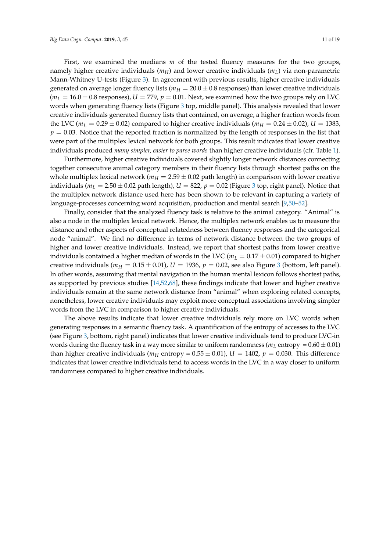First, we examined the medians *m* of the tested fluency measures for the two groups, namely higher creative individuals (*mH*) and lower creative individuals (*mL*) via non-parametric Mann-Whitney U-tests (Figure 3). In agreement with previous results, higher creative individuals generated on average longer fluency lists ( $m_H = 20.0 \pm 0.8$  responses) than lower creative individuals  $(m_L = 16.0 \pm 0.8$  responses),  $U = 779$ ,  $p = 0.01$ . Next, we examined how the two groups rely on LVC words when generating fluency lists (Figure 3 top, middle panel). This analysis revealed that lower creative individuals generated fluency lists that contained, on average, a higher fraction words from the LVC ( $m_L = 0.29 \pm 0.02$ ) compared to higher creative individuals ( $m_H = 0.24 \pm 0.02$ ),  $U = 1383$ ,  $p = 0.03$ . Notice that the reported fraction is normalized by the length of responses in the list that were part of the multiplex lexical network for both groups. This result indicates that lower creative individuals produced *many simpler, easier to parse words* than higher creative individuals (cfr. Table 1).

Furthermore, higher creative individuals covered slightly longer network distances connecting together consecutive animal category members in their fluency lists through shortest paths on the whole multiplex lexical network ( $m_H = 2.59 \pm 0.02$  path length) in comparison with lower creative individuals ( $m<sub>L</sub> = 2.50 \pm 0.02$  path length),  $U = 822$ ,  $p = 0.02$  (Figure 3 top, right panel). Notice that the multiplex network distance used here has been shown to be relevant in capturing a variety of language-processes concerning word acquisition, production and mental search [9,50–52].

Finally, consider that the analyzed fluency task is relative to the animal category. "Animal" is also a node in the multiplex lexical network. Hence, the multiplex network enables us to measure the distance and other aspects of conceptual relatedness between fluency responses and the categorical node "animal". We find no difference in terms of network distance between the two groups of higher and lower creative individuals. Instead, we report that shortest paths from lower creative individuals contained a higher median of words in the LVC ( $m<sub>L</sub> = 0.17 \pm 0.01$ ) compared to higher creative individuals ( $m_H = 0.15 \pm 0.01$ ),  $U = 1936$ ,  $p = 0.02$ , see also Figure 3 (bottom, left panel). In other words, assuming that mental navigation in the human mental lexicon follows shortest paths, as supported by previous studies [14,52,68], these findings indicate that lower and higher creative individuals remain at the same network distance from "animal" when exploring related concepts, nonetheless, lower creative individuals may exploit more conceptual associations involving simpler words from the LVC in comparison to higher creative individuals.

The above results indicate that lower creative individuals rely more on LVC words when generating responses in a semantic fluency task. A quantification of the entropy of accesses to the LVC (see Figure 3, bottom, right panel) indicates that lower creative individuals tend to produce LVC-in words during the fluency task in a way more similar to uniform randomness ( $m<sub>L</sub>$  entropy =  $0.60 \pm 0.01$ ) than higher creative individuals ( $m<sub>H</sub>$  entropy = 0.55  $\pm$  0.01), *U* = 1402, *p* = 0.030. This difference indicates that lower creative individuals tend to access words in the LVC in a way closer to uniform randomness compared to higher creative individuals.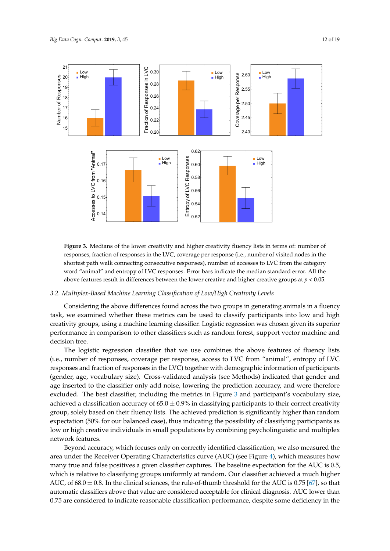

**Figure 3.** Medians of the lower creativity and higher creativity fluency lists in terms of: number of responses, fraction of responses in the LVC, coverage per response (i.e., number of visited nodes in the shortest path walk connecting consecutive responses), number of accesses to LVC from the category word "animal" and entropy of LVC responses. Error bars indicate the median standard error. All the above features result in differences between the lower creative and higher creative groups at  $p < 0.05$ .

#### *3.2. Multiplex-Based Machine Learning Classification of Low/High Creativity Levels*

Considering the above differences found across the two groups in generating animals in a fluency task, we examined whether these metrics can be used to classify participants into low and high creativity groups, using a machine learning classifier. Logistic regression was chosen given its superior performance in comparison to other classifiers such as random forest, support vector machine and decision tree.

The logistic regression classifier that we use combines the above features of fluency lists (i.e., number of responses, coverage per response, access to LVC from "animal", entropy of LVC responses and fraction of responses in the LVC) together with demographic information of participants (gender, age, vocabulary size). Cross-validated analysis (see Methods) indicated that gender and age inserted to the classifier only add noise, lowering the prediction accuracy, and were therefore excluded. The best classifier, including the metrics in Figure 3 and participant's vocabulary size, achieved a classification accuracy of  $65.0 \pm 0.9\%$  in classifying participants to their correct creativity group, solely based on their fluency lists. The achieved prediction is significantly higher than random expectation (50% for our balanced case), thus indicating the possibility of classifying participants as low or high creative individuals in small populations by combining psycholinguistic and multiplex network features.

Beyond accuracy, which focuses only on correctly identified classification, we also measured the area under the Receiver Operating Characteristics curve (AUC) (see Figure 4), which measures how many true and false positives a given classifier captures. The baseline expectation for the AUC is 0.5, which is relative to classifying groups uniformly at random. Our classifier achieved a much higher AUC, of  $68.0 \pm 0.8$ . In the clinical sciences, the rule-of-thumb threshold for the AUC is 0.75 [67], so that automatic classifiers above that value are considered acceptable for clinical diagnosis. AUC lower than 0.75 are considered to indicate reasonable classification performance, despite some deficiency in the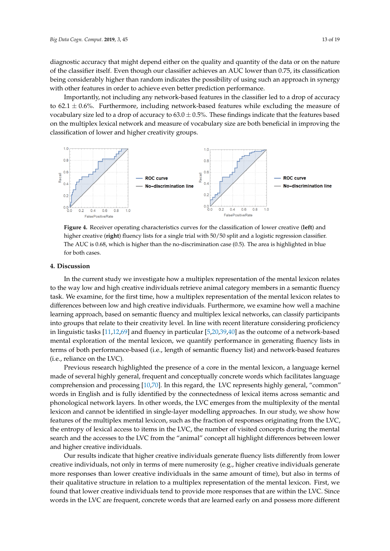diagnostic accuracy that might depend either on the quality and quantity of the data or on the nature of the classifier itself. Even though our classifier achieves an AUC lower than 0.75, its classification being considerably higher than random indicates the possibility of using such an approach in synergy with other features in order to achieve even better prediction performance.

Importantly, not including any network-based features in the classifier led to a drop of accuracy to 62.1  $\pm$  0.6%. Furthermore, including network-based features while excluding the measure of vocabulary size led to a drop of accuracy to  $63.0 \pm 0.5$ %. These findings indicate that the features based on the multiplex lexical network and measure of vocabulary size are both beneficial in improving the classification of lower and higher creativity groups.



**Figure 4.** Receiver operating characteristics curves for the classification of lower creative (**left**) and higher creative (**right**) fluency lists for a single trial with 50/50 split and a logistic regression classifier. The AUC is 0.68, which is higher than the no-discrimination case (0.5). The area is highlighted in blue for both cases.

#### **4. Discussion**

In the current study we investigate how a multiplex representation of the mental lexicon relates to the way low and high creative individuals retrieve animal category members in a semantic fluency task. We examine, for the first time, how a multiplex representation of the mental lexicon relates to differences between low and high creative individuals. Furthermore, we examine how well a machine learning approach, based on semantic fluency and multiplex lexical networks, can classify participants into groups that relate to their creativity level. In line with recent literature considering proficiency in linguistic tasks [11,12,69] and fluency in particular [5,20,39,40] as the outcome of a network-based mental exploration of the mental lexicon, we quantify performance in generating fluency lists in terms of both performance-based (i.e., length of semantic fluency list) and network-based features (i.e., reliance on the LVC).

Previous research highlighted the presence of a core in the mental lexicon, a language kernel made of several highly general, frequent and conceptually concrete words which facilitates language comprehension and processing [10,70]. In this regard, the LVC represents highly general, "common" words in English and is fully identified by the connectedness of lexical items across semantic and phonological network layers. In other words, the LVC emerges from the multiplexity of the mental lexicon and cannot be identified in single-layer modelling approaches. In our study, we show how features of the multiplex mental lexicon, such as the fraction of responses originating from the LVC, the entropy of lexical access to items in the LVC, the number of visited concepts during the mental search and the accesses to the LVC from the "animal" concept all highlight differences between lower and higher creative individuals.

Our results indicate that higher creative individuals generate fluency lists differently from lower creative individuals, not only in terms of mere numerosity (e.g., higher creative individuals generate more responses than lower creative individuals in the same amount of time), but also in terms of their qualitative structure in relation to a multiplex representation of the mental lexicon. First, we found that lower creative individuals tend to provide more responses that are within the LVC. Since words in the LVC are frequent, concrete words that are learned early on and possess more different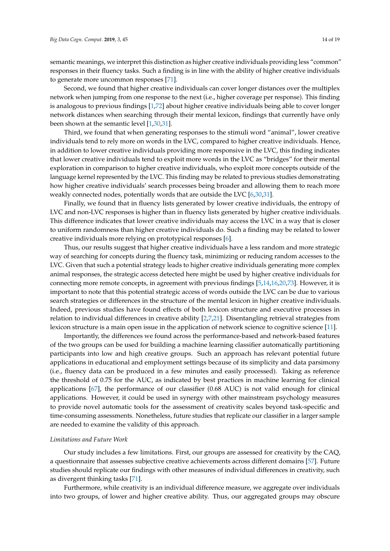semantic meanings, we interpret this distinction as higher creative individuals providing less "common" responses in their fluency tasks. Such a finding is in line with the ability of higher creative individuals to generate more uncommon responses [71].

Second, we found that higher creative individuals can cover longer distances over the multiplex network when jumping from one response to the next (i.e., higher coverage per response). This finding is analogous to previous findings [1,72] about higher creative individuals being able to cover longer network distances when searching through their mental lexicon, findings that currently have only been shown at the semantic level [1,30,31].

Third, we found that when generating responses to the stimuli word "animal", lower creative individuals tend to rely more on words in the LVC, compared to higher creative individuals. Hence, in addition to lower creative individuals providing more responsive in the LVC, this finding indicates that lower creative individuals tend to exploit more words in the LVC as "bridges" for their mental exploration in comparison to higher creative individuals, who exploit more concepts outside of the language kernel represented by the LVC. This finding may be related to previous studies demonstrating how higher creative individuals' search processes being broader and allowing them to reach more weakly connected nodes, potentially words that are outside the LVC [6,30,31].

Finally, we found that in fluency lists generated by lower creative individuals, the entropy of LVC and non-LVC responses is higher than in fluency lists generated by higher creative individuals. This difference indicates that lower creative individuals may access the LVC in a way that is closer to uniform randomness than higher creative individuals do. Such a finding may be related to lower creative individuals more relying on prototypical responses [6].

Thus, our results suggest that higher creative individuals have a less random and more strategic way of searching for concepts during the fluency task, minimizing or reducing random accesses to the LVC. Given that such a potential strategy leads to higher creative individuals generating more complex animal responses, the strategic access detected here might be used by higher creative individuals for connecting more remote concepts, in agreement with previous findings [5,14,16,20,73]. However, it is important to note that this potential strategic access of words outside the LVC can be due to various search strategies or differences in the structure of the mental lexicon in higher creative individuals. Indeed, previous studies have found effects of both lexicon structure and executive processes in relation to individual differences in creative ability [2,7,21]. Disentangling retrieval strategies from lexicon structure is a main open issue in the application of network science to cognitive science [11].

Importantly, the differences we found across the performance-based and network-based features of the two groups can be used for building a machine learning classifier automatically partitioning participants into low and high creative groups. Such an approach has relevant potential future applications in educational and employment settings because of its simplicity and data parsimony (i.e., fluency data can be produced in a few minutes and easily processed). Taking as reference the threshold of 0.75 for the AUC, as indicated by best practices in machine learning for clinical applications [67], the performance of our classifier (0.68 AUC) is not valid enough for clinical applications. However, it could be used in synergy with other mainstream psychology measures to provide novel automatic tools for the assessment of creativity scales beyond task-specific and time-consuming assessments. Nonetheless, future studies that replicate our classifier in a larger sample are needed to examine the validity of this approach.

#### *Limitations and Future Work*

Our study includes a few limitations. First, our groups are assessed for creativity by the CAQ, a questionnaire that assesses subjective creative achievements across different domains [57]. Future studies should replicate our findings with other measures of individual differences in creativity, such as divergent thinking tasks [71].

Furthermore, while creativity is an individual difference measure, we aggregate over individuals into two groups, of lower and higher creative ability. Thus, our aggregated groups may obscure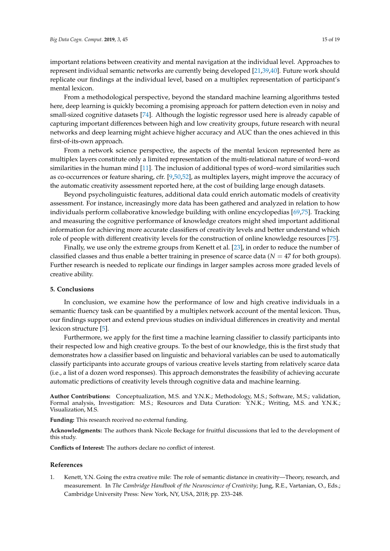important relations between creativity and mental navigation at the individual level. Approaches to represent individual semantic networks are currently being developed [21,39,40]. Future work should replicate our findings at the individual level, based on a multiplex representation of participant's mental lexicon.

From a methodological perspective, beyond the standard machine learning algorithms tested here, deep learning is quickly becoming a promising approach for pattern detection even in noisy and small-sized cognitive datasets [74]. Although the logistic regressor used here is already capable of capturing important differences between high and low creativity groups, future research with neural networks and deep learning might achieve higher accuracy and AUC than the ones achieved in this first-of-its-own approach.

From a network science perspective, the aspects of the mental lexicon represented here as multiplex layers constitute only a limited representation of the multi-relational nature of word–word similarities in the human mind [11]. The inclusion of additional types of word–word similarities such as co-occurrences or feature sharing, cfr. [9,50,52], as multiplex layers, might improve the accuracy of the automatic creativity assessment reported here, at the cost of building large enough datasets.

Beyond psycholinguistic features, additional data could enrich automatic models of creativity assessment. For instance, increasingly more data has been gathered and analyzed in relation to how individuals perform collaborative knowledge building with online encyclopedias [69,75]. Tracking and measuring the cognitive performance of knowledge creators might shed important additional information for achieving more accurate classifiers of creativity levels and better understand which role of people with different creativity levels for the construction of online knowledge resources [75].

Finally, we use only the extreme groups from Kenett et al. [23], in order to reduce the number of classified classes and thus enable a better training in presence of scarce data ( $N = 47$  for both groups). Further research is needed to replicate our findings in larger samples across more graded levels of creative ability.

#### **5. Conclusions**

In conclusion, we examine how the performance of low and high creative individuals in a semantic fluency task can be quantified by a multiplex network account of the mental lexicon. Thus, our findings support and extend previous studies on individual differences in creativity and mental lexicon structure [5].

Furthermore, we apply for the first time a machine learning classifier to classify participants into their respected low and high creative groups. To the best of our knowledge, this is the first study that demonstrates how a classifier based on linguistic and behavioral variables can be used to automatically classify participants into accurate groups of various creative levels starting from relatively scarce data (i.e., a list of a dozen word responses). This approach demonstrates the feasibility of achieving accurate automatic predictions of creativity levels through cognitive data and machine learning.

**Author Contributions:** Conceptualization, M.S. and Y.N.K.; Methodology, M.S.; Software, M.S.; validation, Formal analysis, Investigation: M.S.; Resources and Data Curation: Y.N.K.; Writing, M.S. and Y.N.K.; Visualization, M.S.

**Funding:** This research received no external funding.

**Acknowledgments:** The authors thank Nicole Beckage for fruitful discussions that led to the development of this study.

**Conflicts of Interest:** The authors declare no conflict of interest.

#### **References**

1. Kenett, Y.N. Going the extra creative mile: The role of semantic distance in creativity—Theory, research, and measurement. In *The Cambridge Handbook of the Neuroscience of Creativity*; Jung, R.E., Vartanian, O., Eds.; Cambridge University Press: New York, NY, USA, 2018; pp. 233–248.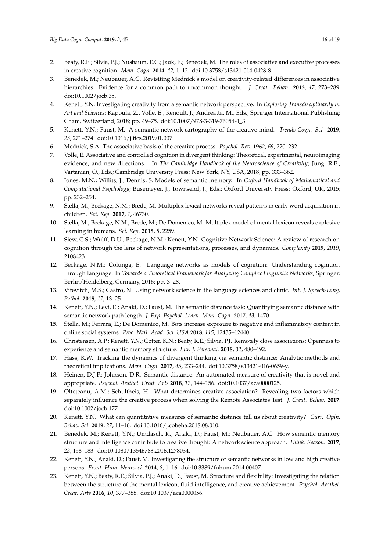- 2. Beaty, R.E.; Silvia, P.J.; Nusbaum, E.C.; Jauk, E.; Benedek, M. The roles of associative and executive processes in creative cognition. *Mem. Cogn.* **2014**, *42*, 1–12. doi:10.3758/s13421-014-0428-8.
- 3. Benedek, M.; Neubauer, A.C. Revisiting Mednick's model on creativity-related differences in associative hierarchies. Evidence for a common path to uncommon thought. *J. Creat. Behav.* **2013**, *47*, 273–289. doi:10.1002/jocb.35.
- 4. Kenett, Y.N. Investigating creativity from a semantic network perspective. In *Exploring Transdisciplinarity in Art and Sciences*; Kapoula, Z., Volle, E., Renoult, J., Andreatta, M., Eds.; Springer International Publishing: Cham, Switzerland, 2018; pp. 49–75. doi:10.1007/978-3-319-76054-4\_3.
- 5. Kenett, Y.N.; Faust, M. A semantic network cartography of the creative mind. *Trends Cogn. Sci.* **2019**, *23*, 271–274. doi:10.1016/j.tics.2019.01.007.
- 6. Mednick, S.A. The associative basis of the creative process. *Psychol. Rev.* **1962**, *69*, 220–232.
- 7. Volle, E. Associative and controlled cognition in divergent thinking: Theoretical, experimental, neuroimaging evidence, and new directions. In *The Cambridge Handbook of the Neuroscience of Creativity*; Jung, R.E., Vartanian, O., Eds.; Cambridge University Press: New York, NY, USA, 2018; pp. 333–362.
- 8. Jones, M.N.; Willits, J.; Dennis, S. Models of semantic memory. In *Oxford Handbook of Mathematical and Computational Psychology*; Busemeyer, J., Townsend, J., Eds.; Oxford University Press: Oxford, UK, 2015; pp. 232–254.
- 9. Stella, M.; Beckage, N.M.; Brede, M. Multiplex lexical networks reveal patterns in early word acquisition in children. *Sci. Rep.* **2017**, *7*, 46730.
- 10. Stella, M.; Beckage, N.M.; Brede, M.; De Domenico, M. Multiplex model of mental lexicon reveals explosive learning in humans. *Sci. Rep.* **2018**, *8*, 2259.
- 11. Siew, C.S.; Wulff, D.U.; Beckage, N.M.; Kenett, Y.N. Cognitive Network Science: A review of research on cognition through the lens of network representations, processes, and dynamics. *Complexity* **2019**, *2019*, 2108423.
- 12. Beckage, N.M.; Colunga, E. Language networks as models of cognition: Understanding cognition through language. In *Towards a Theoretical Framework for Analyzing Complex Linguistic Networks*; Springer: Berlin/Heidelberg, Germany, 2016; pp. 3–28.
- 13. Vitevitch, M.S.; Castro, N. Using network science in the language sciences and clinic. *Int. J. Speech-Lang. Pathol.* **2015**, *17*, 13–25.
- 14. Kenett, Y.N.; Levi, E.; Anaki, D.; Faust, M. The semantic distance task: Quantifying semantic distance with semantic network path length. *J. Exp. Psychol. Learn. Mem. Cogn.* **2017**, *43*, 1470.
- 15. Stella, M.; Ferrara, E.; De Domenico, M. Bots increase exposure to negative and inflammatory content in online social systems. *Proc. Natl. Acad. Sci. USA* **2018**, *115*, 12435–12440.
- 16. Christensen, A.P.; Kenett, Y.N.; Cotter, K.N.; Beaty, R.E.; Silvia, P.J. Remotely close associations: Openness to experience and semantic memory structure. *Eur. J. Personal.* **2018**, *32*, 480–492.
- 17. Hass, R.W. Tracking the dynamics of divergent thinking via semantic distance: Analytic methods and theoretical implications. *Mem. Cogn.* **2017**, *45*, 233–244. doi:10.3758/s13421-016-0659-y.
- 18. Heinen, D.J.P.; Johnson, D.R. Semantic distance: An automated measure of creativity that is novel and appropriate. *Psychol. Aesthet. Creat. Arts* **2018**, *12*, 144–156. doi:10.1037/aca0000125.
- 19. Olteteanu, A.M.; Schultheis, H. What determines creative association? Revealing two factors which separately influence the creative process when solving the Remote Associates Test. *J. Creat. Behav.* **2017**. doi:10.1002/jocb.177.
- 20. Kenett, Y.N. What can quantitative measures of semantic distance tell us about creativity? *Curr. Opin. Behav. Sci.* **2019**, *27*, 11–16. doi:10.1016/j.cobeha.2018.08.010.
- 21. Benedek, M.; Kenett, Y.N.; Umdasch, K.; Anaki, D.; Faust, M.; Neubauer, A.C. How semantic memory structure and intelligence contribute to creative thought: A network science approach. *Think. Reason.* **2017**, *23*, 158–183. doi:10.1080/13546783.2016.1278034.
- 22. Kenett, Y.N.; Anaki, D.; Faust, M. Investigating the structure of semantic networks in low and high creative persons. *Front. Hum. Neurosci.* **2014**, *8*, 1–16. doi:10.3389/fnhum.2014.00407.
- 23. Kenett, Y.N.; Beaty, R.E.; Silvia, P.J.; Anaki, D.; Faust, M. Structure and flexibility: Investigating the relation between the structure of the mental lexicon, fluid intelligence, and creative achievement. *Psychol. Aesthet. Creat. Arts* **2016**, *10*, 377–388. doi:10.1037/aca0000056.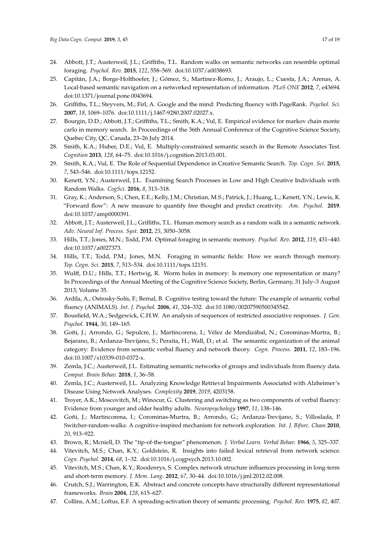- 24. Abbott, J.T.; Austerweil, J.L.; Griffiths, T.L. Random walks on semantic networks can resemble optimal foraging. *Psychol. Rev.* **2015**, *122*, 558–569. doi:10.1037/a0038693.
- 25. Capitán, J.A.; Borge-Holthoefer, J.; Gómez, S.; Martinez-Romo, J.; Araujo, L.; Cuesta, J.A.; Arenas, A. Local-based semantic navigation on a networked representation of information. *PLoS ONE* **2012**, *7*, e43694. doi:10.1371/journal.pone.0043694.
- 26. Griffiths, T.L.; Steyvers, M.; Firl, A. Google and the mind: Predicting fluency with PageRank. *Psychol. Sci.* **2007**, *18*, 1069–1076. doi:10.1111/j.1467-9280.2007.02027.x.
- 27. Bourgin, D.D.; Abbott, J.T.; Griffiths, T.L.; Smith, K.A.; Vul, E. Empirical evidence for markov chain monte carlo in memory search. In Proceedings of the 36th Annual Conference of the Cognitive Science Society, Quebec City, QC, Canada, 23–26 July 2014.
- 28. Smith, K.A.; Huber, D.E.; Vul, E. Multiply-constrained semantic search in the Remote Associates Test. *Cognition* **2013**, *128*, 64–75. doi:10.1016/j.cognition.2013.03.001.
- 29. Smith, K.A.; Vul, E. The Role of Sequential Dependence in Creative Semantic Search. *Top. Cogn. Sci.* **2015**, *7*, 543–546. doi:10.1111/tops.12152.
- 30. Kenett, Y.N.; Austerweil, J.L. Examining Search Processes in Low and High Creative Individuals with Random Walks. *CogSci.* **2016**, *8*, 313–318.
- 31. Gray, K.; Anderson, S.; Chen, E.E.; Kelly, J.M.; Christian, M.S.; Patrick, J.; Huang, L.; Kenett, Y.N.; Lewis, K. "Forward flow": A new measure to quantify free thought and predict creativity. *Am. Psychol.* **2019**. doi:10.1037/amp0000391.
- 32. Abbott, J.T.; Austerweil, J.L.; Griffiths, T.L. Human memory search as a random walk in a semantic network. *Adv. Neural Inf. Process. Syst.* **2012**, *25*, 3050–3058.
- 33. Hills, T.T.; Jones, M.N.; Todd, P.M. Optimal foraging in semantic memory. *Psychol. Rev.* **2012**, *119*, 431–440. doi:10.1037/a0027373.
- 34. Hills, T.T.; Todd, P.M.; Jones, M.N. Foraging in semantic fields: How we search through memory. *Top. Cogn. Sci.* **2015**, *7*, 513–534. doi:10.1111/tops.12151.
- 35. Wulff, D.U.; Hills, T.T.; Hertwig, R. Worm holes in memory: Is memory one representation or many? In Proceedings of the Annual Meeting of the Cognitive Science Society, Berlin, Germany, 31 July–3 August 2013; Volume 35.
- 36. Ardila, A.; Ostrosky-Solís, F.; Bernal, B. Cognitive testing toward the future: The example of semantic verbal fluency (ANIMALS). *Int. J. Psychol.* **2006**, *41*, 324–332. doi:10.1080/00207590500345542.
- 37. Bousfield, W.A.; Sedgewick, C.H.W. An analysis of sequences of restricted associative responses. *J. Gen. Psychol.* **1944**, *30*, 149–165.
- 38. Goñi, J.; Arrondo, G.; Sepulcre, J.; Martincorena, I.; Vélez de Mendizábal, N.; Corominas-Murtra, B.; Bejarano, B.; Ardanza-Trevijano, S.; Peraita, H.; Wall, D.; et al. The semantic organization of the animal category: Evidence from semantic verbal fluency and network theory. *Cogn. Process.* **2011**, *12*, 183–196. doi:10.1007/s10339-010-0372-x.
- 39. Zemla, J.C.; Austerweil, J.L. Estimating semantic networks of groups and individuals from fluency data. *Comput. Brain Behav.* **2018**, *1*, 36–58.
- 40. Zemla, J.C.; Austerweil, J.L. Analyzing Knowledge Retrieval Impairments Associated with Alzheimer's Disease Using Network Analyses. *Complexity* **2019**, *2019*, 4203158.
- 41. Troyer, A.K.; Moscovitch, M.; Winocur, G. Clustering and switching as two components of verbal fluency: Evidence from younger and older healthy adults. *Neuropsychology* **1997**, *11*, 138–146.
- 42. Goñi, J.; Martincorena, I.; Corominas-Murtra, B.; Arrondo, G.; Ardanza-Trevijano, S.; Villoslada, P. Switcher-random-walks: A cognitive-inspired mechanism for network exploration. *Int. J. Bifurc. Chaos* **2010**, *20*, 913–922.
- 43. Brown, R.; Mcniell, D. The "tip-of-the-tongue" phenomenon. *J. Verbal Learn. Verbal Behav.* **1966**, *5*, 325–337.
- 44. Vitevitch, M.S.; Chan, K.Y.; Goldstein, R. Insights into failed lexical retrieval from network science. *Cogn. Psychol.* **2014**, *68*, 1–32. doi:10.1016/j.cogpsych.2013.10.002.
- 45. Vitevitch, M.S.; Chan, K.Y.; Roodenrys, S. Complex network structure influences processing in long-term and short-term memory. *J. Mem. Lang.* **2012**, *67*, 30–44. doi:10.1016/j.jml.2012.02.008.
- 46. Crutch, S.J.; Warrington, E.K. Abstract and concrete concepts have structurally different representational frameworks. *Brain* **2004**, *128*, 615–627.
- 47. Collins, A.M.; Loftus, E.F. A spreading-activation theory of semantic processing. *Psychol. Rev.* **1975**, *82*, 407.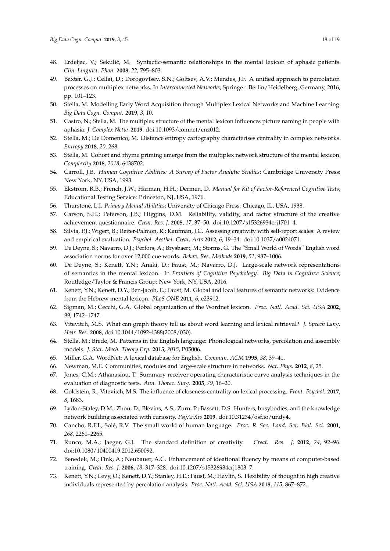- 48. Erdeljac, V.; Sekulić, M. Syntactic-semantic relationships in the mental lexicon of aphasic patients. *Clin. Linguist. Phon.* **2008**, *22*, 795–803.
- 49. Baxter, G.J.; Cellai, D.; Dorogovtsev, S.N.; Goltsev, A.V.; Mendes, J.F. A unified approach to percolation processes on multiplex networks. In *Interconnected Networks*; Springer: Berlin/Heidelberg, Germany, 2016; pp. 101–123.
- 50. Stella, M. Modelling Early Word Acquisition through Multiplex Lexical Networks and Machine Learning. *Big Data Cogn. Comput.* **2019**, *3*, 10.
- 51. Castro, N.; Stella, M. The multiplex structure of the mental lexicon influences picture naming in people with aphasia. *J. Complex Netw.* **2019**. doi:10.1093/comnet/cnz012.
- 52. Stella, M.; De Domenico, M. Distance entropy cartography characterises centrality in complex networks. *Entropy* **2018**, *20*, 268.
- 53. Stella, M. Cohort and rhyme priming emerge from the multiplex network structure of the mental lexicon. *Complexity* **2018**, *2018*, 6438702.
- 54. Carroll, J.B. *Human Cognitive Abilities: A Survey of Factor Analytic Studies*; Cambridge University Press: New York, NY, USA, 1993.
- 55. Ekstrom, R.B.; French, J.W.; Harman, H.H.; Dermen, D. *Manual for Kit of Factor-Referenced Cognitive Tests*; Educational Testing Service: Princeton, NJ, USA, 1976.
- 56. Thurstone, L.I. *Primary Mental Abilities*; University of Chicago Press: Chicago, IL, USA, 1938.
- 57. Carson, S.H.; Peterson, J.B.; Higgins, D.M. Reliability, validity, and factor structure of the creative achievement questionnaire. *Creat. Res. J.* **2005**, *17*, 37–50. doi:10.1207/s15326934crj1701\_4.
- 58. Silvia, P.J.; Wigert, B.; Reiter-Palmon, R.; Kaufman, J.C. Assessing creativity with self-report scales: A review and empirical evaluation. *Psychol. Aesthet. Creat. Arts* **2012**, *6*, 19–34. doi:10.1037/a0024071.
- 59. De Deyne, S.; Navarro, D.J.; Perfors, A.; Brysbaert, M.; Storms, G. The "Small World of Words" English word association norms for over 12,000 cue words. *Behav. Res. Methods* **2019**, *51*, 987–1006.
- 60. De Deyne, S.; Kenett, Y.N.; Anaki, D.; Faust, M.; Navarro, D.J. Large-scale network representations of semantics in the mental lexicon. In *Frontiers of Cognitive Psychology. Big Data in Cognitive Science*; Routledge/Taylor & Francis Group: New York, NY, USA, 2016.
- 61. Kenett, Y.N.; Kenett, D.Y.; Ben-Jacob, E.; Faust, M. Global and local features of semantic networks: Evidence from the Hebrew mental lexicon. *PLoS ONE* **2011**, *6*, e23912.
- 62. Sigman, M.; Cecchi, G.A. Global organization of the Wordnet lexicon. *Proc. Natl. Acad. Sci. USA* **2002**, *99*, 1742–1747.
- 63. Vitevitch, M.S. What can graph theory tell us about word learning and lexical retrieval? *J. Speech Lang. Hear. Res.* **2008**, doi:10.1044/1092-4388(2008/030).
- 64. Stella, M.; Brede, M. Patterns in the English language: Phonological networks, percolation and assembly models. *J. Stat. Mech. Theory Exp.* **2015**, *2015*, P05006.
- 65. Miller, G.A. WordNet: A lexical database for English. *Commun. ACM* **1995**, *38*, 39–41.
- 66. Newman, M.E. Communities, modules and large-scale structure in networks. *Nat. Phys.* **2012**, *8*, 25.
- 67. Jones, C.M.; Athanasiou, T. Summary receiver operating characteristic curve analysis techniques in the evaluation of diagnostic tests. *Ann. Thorac. Surg.* **2005**, *79*, 16–20.
- 68. Goldstein, R.; Vitevitch, M.S. The influence of closeness centrality on lexical processing. *Front. Psychol.* **2017**, *8*, 1683.
- 69. Lydon-Staley, D.M.; Zhou, D.; Blevins, A.S.; Zurn, P.; Bassett, D.S. Hunters, busybodies, and the knowledge network building associated with curiosity. *PsyArXiv* **2019**. doi:10.31234/osf.io/undy4.
- 70. Cancho, R.F.I.; Solé, R.V. The small world of human language. *Proc. R. Soc. Lond. Ser. Biol. Sci.* **2001**, *268*, 2261–2265.
- 71. Runco, M.A.; Jaeger, G.J. The standard definition of creativity. *Creat. Res. J.* **2012**, *24*, 92–96. doi:10.1080/10400419.2012.650092.
- 72. Benedek, M.; Fink, A.; Neubauer, A.C. Enhancement of ideational fluency by means of computer-based training. *Creat. Res. J.* **2006**, *18*, 317–328. doi:10.1207/s15326934crj1803\_7.
- 73. Kenett, Y.N.; Levy, O.; Kenett, D.Y.; Stanley, H.E.; Faust, M.; Havlin, S. Flexibility of thought in high creative individuals represented by percolation analysis. *Proc. Natl. Acad. Sci. USA* **2018**, *115*, 867–872.